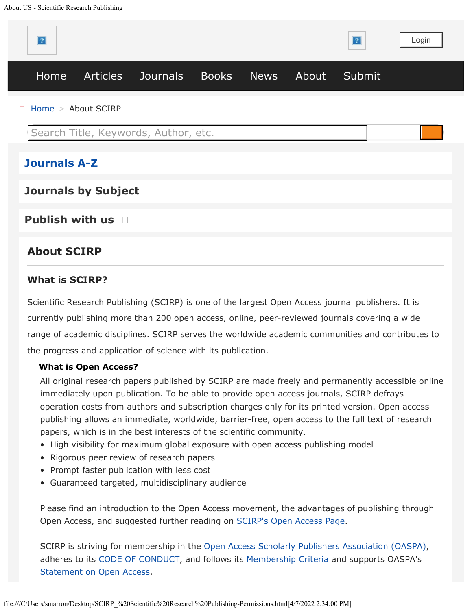

**[Publish with us](https://www.scirp.org/aboutus/index.aspx#collapse2)** 

# **About SCIRP**

### **What is SCIRP?**

Scientific Research Publishing (SCIRP) is one of the largest Open Access journal publishers. It is currently publishing more than 200 open access, online, peer-reviewed journals covering a wide range of academic disciplines. SCIRP serves the worldwide academic communities and contributes to the progress and application of science with its publication.

#### **What is Open Access?**

All original research papers published by SCIRP are made freely and permanently accessible online immediately upon publication. To be able to provide open access journals, SCIRP defrays operation costs from authors and subscription charges only for its printed version. Open access publishing allows an immediate, worldwide, barrier-free, open access to the full text of research papers, which is in the best interests of the scientific community.

- High visibility for maximum global exposure with open access publishing model
- Rigorous peer review of research papers
- Prompt faster publication with less cost
- Guaranteed targeted, multidisciplinary audience

Please find an introduction to the Open Access movement, the advantages of publishing through Open Access, and suggested further reading on [SCIRP's Open Access Page](http://www.scirp.org/journal/OpenAccess.aspx).

SCIRP is striving for membership in the [Open](http://oaspa.org/) [Access Scholarly Publishers Association \(OASPA\),](http://oaspa.org/) adheres to its [CODE OF CONDUCT](http://oaspa.org/membership/code-of-conduct/), and follows its [Membership Criteria](http://oaspa.org/membership/membership-criteria) and supports OASPA's [Statement on Open Access](http://oaspa.org/membership/membership-criteria).